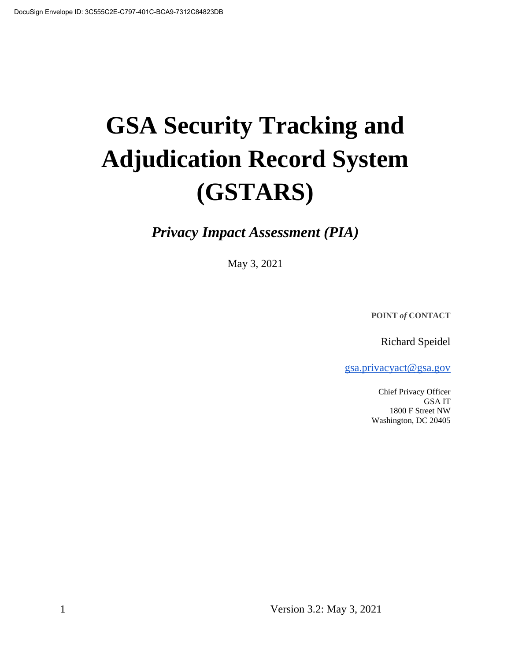# **GSA Security Tracking and Adjudication Record System (GSTARS)**

*Privacy Impact Assessment (PIA)*

May 3, 2021

**POINT** *of* **CONTACT**

Richard Speidel

gsa.privacyact@gsa.gov

Chief Privacy Officer GSA IT 1800 F Street NW Washington, DC 20405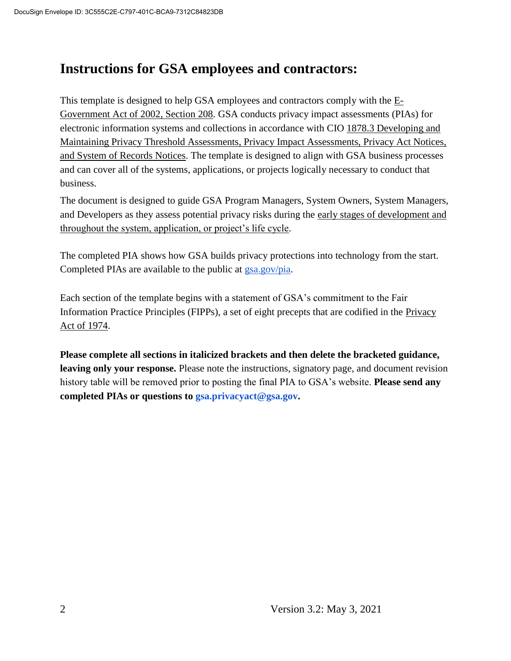# **Instructions for GSA employees and contractors:**

This template is designed to help GSA employees and contractors comply with the  $E$ -Government Act of 2002, Section 208. GSA conducts privacy impact assessments (PIAs) for electronic information systems and collections in accordance with CIO 1878.3 Developing and Maintaining Privacy Threshold Assessments, Privacy Impact Assessments, Privacy Act Notices, and System of Records Notices. The template is designed to align with GSA business processes and can cover all of the systems, applications, or projects logically necessary to conduct that business.

The document is designed to guide GSA Program Managers, System Owners, System Managers, and Developers as they assess potential privacy risks during the early stages of development and throughout the system, application, or project's life cycle.

The completed PIA shows how GSA builds privacy protections into technology from the start. Completed PIAs are available to the public at gsa.gov/pia.

Each section of the template begins with a statement of GSA's commitment to the Fair Information Practice Principles (FIPPs), a set of eight precepts that are codified in the Privacy Act of 1974.

**Please complete all sections in italicized brackets and then delete the bracketed guidance, leaving only your response.** Please note the instructions, signatory page, and document revision history table will be removed prior to posting the final PIA to GSA's website. **Please send any completed PIAs or questions to gsa.privacyact@gsa.gov.**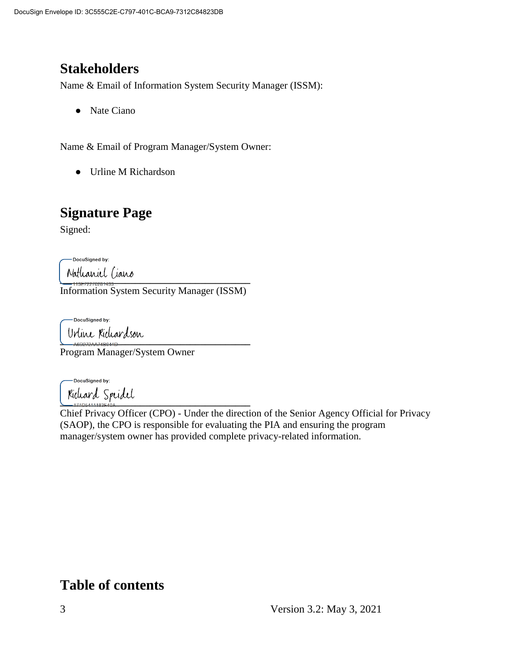# **Stakeholders**

Name & Email of Information System Security Manager (ISSM):

● Nate Ciano

Name & Email of Program Manager/System Owner:

● Urline M Richardson

# **Signature Page**

Signed:

-DocuSigned by:

 $\frac{1}{2}$ Information System Security Manager (ISSM)

DocuSigned by: Urline Richardson

Program Manager/System Owner

-DocuSigned by: Kieleard Speidel

Chief Privacy Officer (CPO) - Under the direction of the Senior Agency Official for Privacy (SAOP), the CPO is responsible for evaluating the PIA and ensuring the program manager/system owner has provided complete privacy-related information.

# **Table of contents**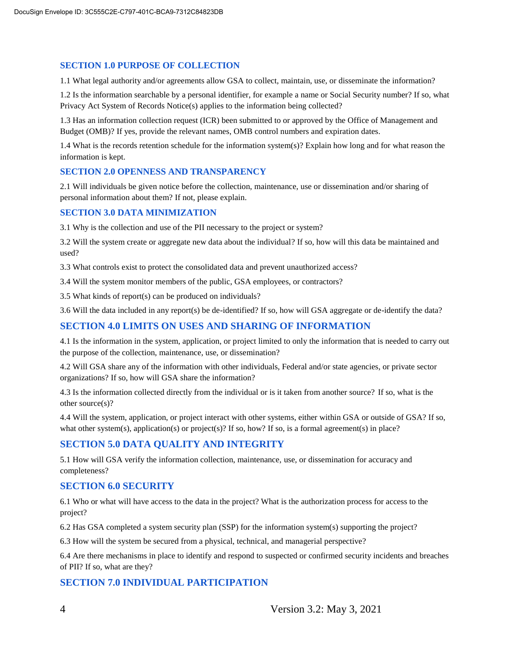#### **SECTION 1.0 PURPOSE OF COLLECTION**

1.1 What legal authority and/or agreements allow GSA to collect, maintain, use, or disseminate the information?

1.2 Is the information searchable by a personal identifier, for example a name or Social Security number? If so, what Privacy Act System of Records Notice(s) applies to the information being collected?

1.3 Has an information collection request (ICR) been submitted to or approved by the Office of Management and Budget (OMB)? If yes, provide the relevant names, OMB control numbers and expiration dates.

1.4 What is the records retention schedule for the information system(s)? Explain how long and for what reason the information is kept.

#### **SECTION 2.0 OPENNESS AND TRANSPARENCY**

2.1 Will individuals be given notice before the collection, maintenance, use or dissemination and/or sharing of personal information about them? If not, please explain.

#### **SECTION 3.0 DATA MINIMIZATION**

3.1 Why is the collection and use of the PII necessary to the project or system?

3.2 Will the system create or aggregate new data about the individual? If so, how will this data be maintained and used?

3.3 What controls exist to protect the consolidated data and prevent unauthorized access?

3.4 Will the system monitor members of the public, GSA employees, or contractors?

3.5 What kinds of report(s) can be produced on individuals?

3.6 Will the data included in any report(s) be de-identified? If so, how will GSA aggregate or de-identify the data?

#### **SECTION 4.0 LIMITS ON USES AND SHARING OF INFORMATION**

4.1 Is the information in the system, application, or project limited to only the information that is needed to carry out the purpose of the collection, maintenance, use, or dissemination?

4.2 Will GSA share any of the information with other individuals, Federal and/or state agencies, or private sector organizations? If so, how will GSA share the information?

4.3 Is the information collected directly from the individual or is it taken from another source? If so, what is the other source(s)?

4.4 Will the system, application, or project interact with other systems, either within GSA or outside of GSA? If so, what other system(s), application(s) or project(s)? If so, how? If so, is a formal agreement(s) in place?

#### **SECTION 5.0 DATA QUALITY AND INTEGRITY**

5.1 How will GSA verify the information collection, maintenance, use, or dissemination for accuracy and completeness?

#### **SECTION 6.0 SECURITY**

6.1 Who or what will have access to the data in the project? What is the authorization process for access to the project?

6.2 Has GSA completed a system security plan (SSP) for the information system(s) supporting the project?

6.3 How will the system be secured from a physical, technical, and managerial perspective?

6.4 Are there mechanisms in place to identify and respond to suspected or confirmed security incidents and breaches of PII? If so, what are they?

#### **SECTION 7.0 INDIVIDUAL PARTICIPATION**

4 Version 3.2: May 3, 2021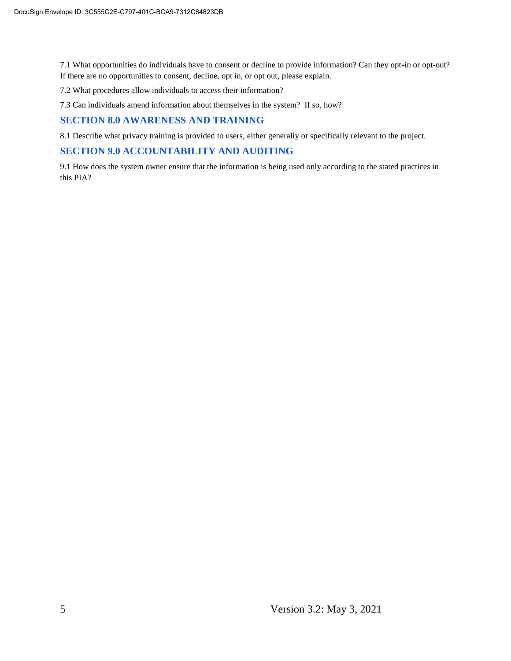7.1 What opportunities do individuals have to consent or decline to provide information? Can they opt-in or opt-out? If there are no opportunities to consent, decline, opt in, or opt out, please explain.

7.2 What procedures allow individuals to access their information?

7.3 Can individuals amend information about themselves in the system? If so, how?

#### **SECTION 8.0 AWARENESS AND TRAINING**

8.1 Describe what privacy training is provided to users, either generally or specifically relevant to the project.

#### **SECTION 9.0 ACCOUNTABILITY AND AUDITING**

9.1 How does the system owner ensure that the information is being used only according to the stated practices in this PIA?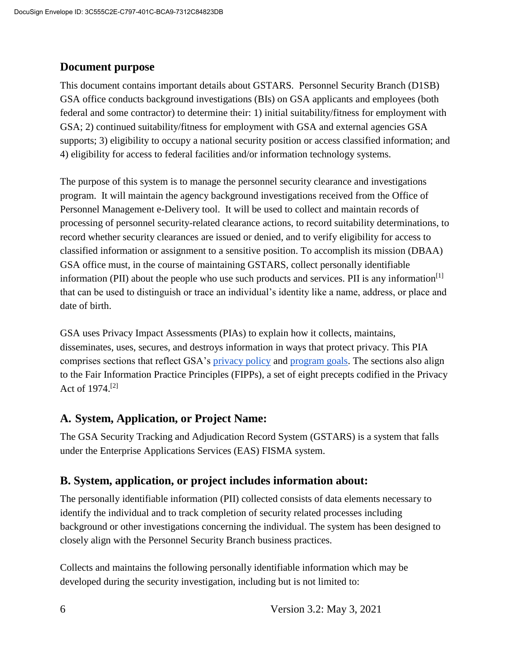#### **Document purpose**

This document contains important details about GSTARS*.* Personnel Security Branch (D1SB) GSA office conducts background investigations (BIs) on GSA applicants and employees (both federal and some contractor) to determine their: 1) initial suitability/fitness for employment with GSA; 2) continued suitability/fitness for employment with GSA and external agencies GSA supports; 3) eligibility to occupy a national security position or access classified information; and 4) eligibility for access to federal facilities and/or information technology systems.

The purpose of this system is to manage the personnel security clearance and investigations program. It will maintain the agency background investigations received from the Office of Personnel Management e-Delivery tool. It will be used to collect and maintain records of processing of personnel security-related clearance actions, to record suitability determinations, to record whether security clearances are issued or denied, and to verify eligibility for access to classified information or assignment to a sensitive position. To accomplish its mission (DBAA) GSA office must, in the course of maintaining GSTARS, collect personally identifiable information (PII) about the people who use such products and services. PII is any information<sup>[1]</sup> that can be used to distinguish or trace an individual's identity like a name, address, or place and date of birth.

GSA uses Privacy Impact Assessments (PIAs) to explain how it collects, maintains, disseminates, uses, secures, and destroys information in ways that protect privacy. This PIA comprises sections that reflect GSA's privacy policy and program goals. The sections also align to the Fair Information Practice Principles (FIPPs), a set of eight precepts codified in the Privacy Act of 1974.[2]

#### **A. System, Application, or Project Name:**

The GSA Security Tracking and Adjudication Record System (GSTARS) is a system that falls under the Enterprise Applications Services (EAS) FISMA system.

#### **B. System, application, or project includes information about:**

The personally identifiable information (PII) collected consists of data elements necessary to identify the individual and to track completion of security related processes including background or other investigations concerning the individual. The system has been designed to closely align with the Personnel Security Branch business practices.

Collects and maintains the following personally identifiable information which may be developed during the security investigation, including but is not limited to: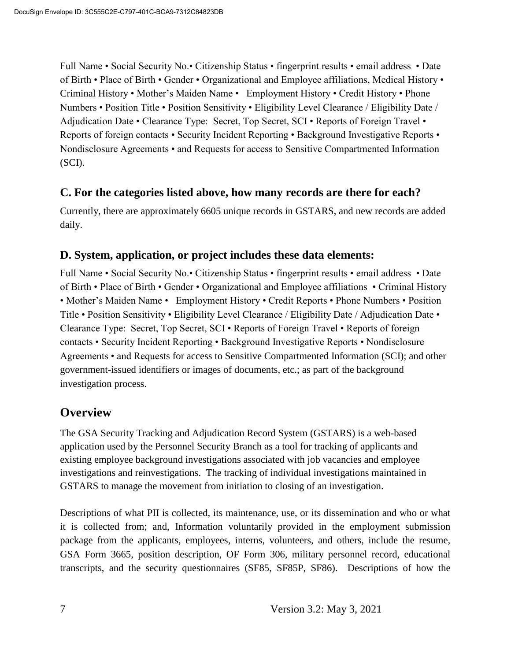Full Name • Social Security No.• Citizenship Status • fingerprint results • email address • Date of Birth • Place of Birth • Gender • Organizational and Employee affiliations, Medical History • Criminal History • Mother's Maiden Name • Employment History • Credit History • Phone Numbers • Position Title • Position Sensitivity • Eligibility Level Clearance / Eligibility Date / Adjudication Date • Clearance Type: Secret, Top Secret, SCI • Reports of Foreign Travel • Reports of foreign contacts • Security Incident Reporting • Background Investigative Reports • Nondisclosure Agreements • and Requests for access to Sensitive Compartmented Information (SCI).

#### **C. For the categories listed above, how many records are there for each?**

Currently, there are approximately 6605 unique records in GSTARS, and new records are added daily.

#### **D. System, application, or project includes these data elements:**

Full Name • Social Security No.• Citizenship Status • fingerprint results • email address • Date of Birth • Place of Birth • Gender • Organizational and Employee affiliations • Criminal History • Mother's Maiden Name • Employment History • Credit Reports • Phone Numbers • Position Title • Position Sensitivity • Eligibility Level Clearance / Eligibility Date / Adjudication Date • Clearance Type: Secret, Top Secret, SCI • Reports of Foreign Travel • Reports of foreign contacts • Security Incident Reporting • Background Investigative Reports • Nondisclosure Agreements • and Requests for access to Sensitive Compartmented Information (SCI); and other government-issued identifiers or images of documents, etc.; as part of the background investigation process.

# **Overview**

The GSA Security Tracking and Adjudication Record System (GSTARS) is a web-based application used by the Personnel Security Branch as a tool for tracking of applicants and existing employee background investigations associated with job vacancies and employee investigations and reinvestigations. The tracking of individual investigations maintained in GSTARS to manage the movement from initiation to closing of an investigation.

Descriptions of what PII is collected, its maintenance, use, or its dissemination and who or what it is collected from; and, Information voluntarily provided in the employment submission package from the applicants, employees, interns, volunteers, and others, include the resume, GSA Form 3665, position description, OF Form 306, military personnel record, educational transcripts, and the security questionnaires (SF85, SF85P, SF86). Descriptions of how the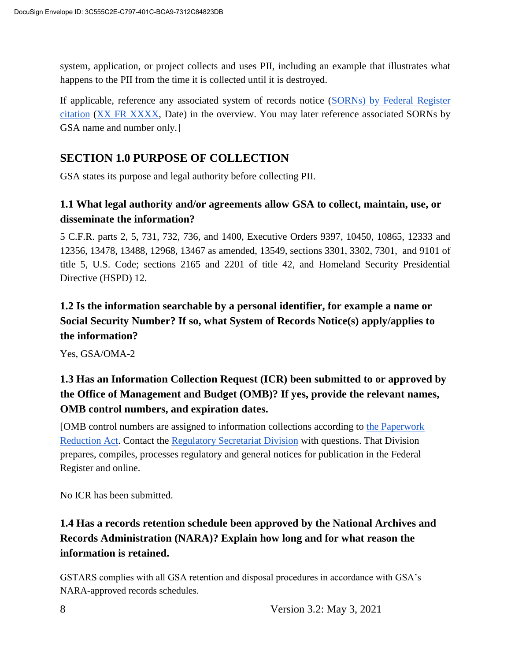system, application, or project collects and uses PII, including an example that illustrates what happens to the PII from the time it is collected until it is destroyed.

If applicable, reference any associated system of records notice (SORNs) by Federal Register citation (XX FR XXXX, Date) in the overview. You may later reference associated SORNs by GSA name and number only.]

## **SECTION 1.0 PURPOSE OF COLLECTION**

GSA states its purpose and legal authority before collecting PII.

#### **1.1 What legal authority and/or agreements allow GSA to collect, maintain, use, or disseminate the information?**

5 C.F.R. parts 2, 5, 731, 732, 736, and 1400, Executive Orders 9397, 10450, 10865, 12333 and 12356, 13478, 13488, 12968, 13467 as amended, 13549, sections 3301, 3302, 7301, and 9101 of title 5, U.S. Code; sections 2165 and 2201 of title 42, and Homeland Security Presidential Directive (HSPD) 12.

# **1.2 Is the information searchable by a personal identifier, for example a name or Social Security Number? If so, what System of Records Notice(s) apply/applies to the information?**

Yes, GSA/OMA-2

# **1.3 Has an Information Collection Request (ICR) been submitted to or approved by the Office of Management and Budget (OMB)? If yes, provide the relevant names, OMB control numbers, and expiration dates.**

[OMB control numbers are assigned to information collections according to the Paperwork Reduction Act. Contact the Regulatory Secretariat Division with questions. That Division prepares, compiles, processes regulatory and general notices for publication in the Federal Register and online.

No ICR has been submitted.

# **1.4 Has a records retention schedule been approved by the National Archives and Records Administration (NARA)? Explain how long and for what reason the information is retained.**

GSTARS complies with all GSA retention and disposal procedures in accordance with GSA's NARA-approved records schedules.

8 Version 3.2: May 3, 2021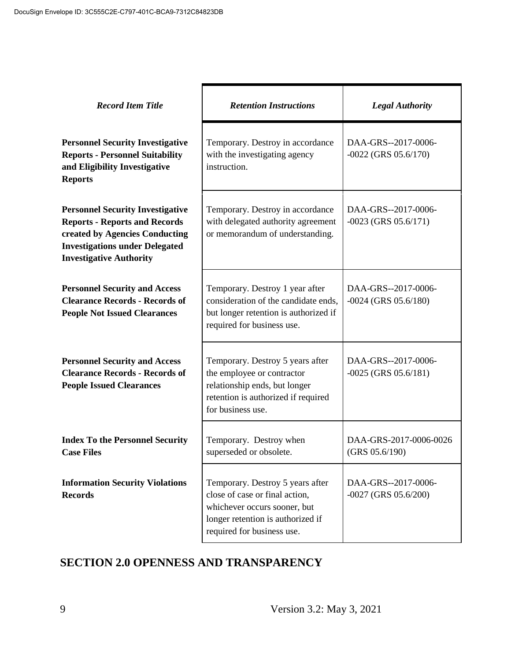| <b>Record Item Title</b>                                                                                                                                                                     | <b>Retention Instructions</b>                                                                                                                                         | <b>Legal Authority</b>                        |
|----------------------------------------------------------------------------------------------------------------------------------------------------------------------------------------------|-----------------------------------------------------------------------------------------------------------------------------------------------------------------------|-----------------------------------------------|
| <b>Personnel Security Investigative</b><br><b>Reports - Personnel Suitability</b><br>and Eligibility Investigative<br><b>Reports</b>                                                         | Temporary. Destroy in accordance<br>with the investigating agency<br>instruction.                                                                                     | DAA-GRS--2017-0006-<br>$-0022$ (GRS 05.6/170) |
| <b>Personnel Security Investigative</b><br><b>Reports - Reports and Records</b><br>created by Agencies Conducting<br><b>Investigations under Delegated</b><br><b>Investigative Authority</b> | Temporary. Destroy in accordance<br>with delegated authority agreement<br>or memorandum of understanding.                                                             | DAA-GRS--2017-0006-<br>$-0023$ (GRS 05.6/171) |
| <b>Personnel Security and Access</b><br><b>Clearance Records - Records of</b><br><b>People Not Issued Clearances</b>                                                                         | Temporary. Destroy 1 year after<br>consideration of the candidate ends,<br>but longer retention is authorized if<br>required for business use.                        | DAA-GRS--2017-0006-<br>$-0024$ (GRS 05.6/180) |
| <b>Personnel Security and Access</b><br><b>Clearance Records - Records of</b><br><b>People Issued Clearances</b>                                                                             | Temporary. Destroy 5 years after<br>the employee or contractor<br>relationship ends, but longer<br>retention is authorized if required<br>for business use.           | DAA-GRS--2017-0006-<br>$-0025$ (GRS 05.6/181) |
| <b>Index To the Personnel Security</b><br><b>Case Files</b>                                                                                                                                  | Temporary. Destroy when<br>superseded or obsolete.                                                                                                                    | DAA-GRS-2017-0006-0026<br>(GRS 05.6/190)      |
| <b>Information Security Violations</b><br><b>Records</b>                                                                                                                                     | Temporary. Destroy 5 years after<br>close of case or final action,<br>whichever occurs sooner, but<br>longer retention is authorized if<br>required for business use. | DAA-GRS--2017-0006-<br>$-0027$ (GRS 05.6/200) |

# **SECTION 2.0 OPENNESS AND TRANSPARENCY**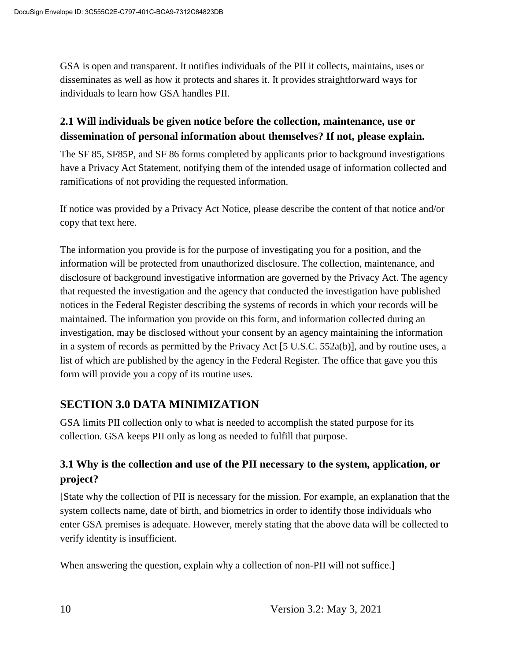GSA is open and transparent. It notifies individuals of the PII it collects, maintains, uses or disseminates as well as how it protects and shares it. It provides straightforward ways for individuals to learn how GSA handles PII.

#### **2.1 Will individuals be given notice before the collection, maintenance, use or dissemination of personal information about themselves? If not, please explain.**

The SF 85, SF85P, and SF 86 forms completed by applicants prior to background investigations have a Privacy Act Statement, notifying them of the intended usage of information collected and ramifications of not providing the requested information.

If notice was provided by a Privacy Act Notice, please describe the content of that notice and/or copy that text here.

The information you provide is for the purpose of investigating you for a position, and the information will be protected from unauthorized disclosure. The collection, maintenance, and disclosure of background investigative information are governed by the Privacy Act. The agency that requested the investigation and the agency that conducted the investigation have published notices in the Federal Register describing the systems of records in which your records will be maintained. The information you provide on this form, and information collected during an investigation, may be disclosed without your consent by an agency maintaining the information in a system of records as permitted by the Privacy Act [5 U.S.C. 552a(b)], and by routine uses, a list of which are published by the agency in the Federal Register. The office that gave you this form will provide you a copy of its routine uses.

#### **SECTION 3.0 DATA MINIMIZATION**

GSA limits PII collection only to what is needed to accomplish the stated purpose for its collection. GSA keeps PII only as long as needed to fulfill that purpose.

#### **3.1 Why is the collection and use of the PII necessary to the system, application, or project?**

[State why the collection of PII is necessary for the mission. For example, an explanation that the system collects name, date of birth, and biometrics in order to identify those individuals who enter GSA premises is adequate. However, merely stating that the above data will be collected to verify identity is insufficient.

When answering the question, explain why a collection of non-PII will not suffice.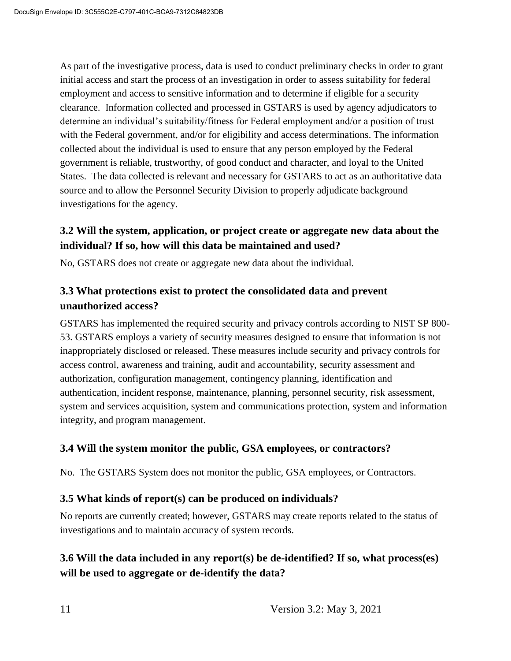As part of the investigative process, data is used to conduct preliminary checks in order to grant initial access and start the process of an investigation in order to assess suitability for federal employment and access to sensitive information and to determine if eligible for a security clearance. Information collected and processed in GSTARS is used by agency adjudicators to determine an individual's suitability/fitness for Federal employment and/or a position of trust with the Federal government, and/or for eligibility and access determinations. The information collected about the individual is used to ensure that any person employed by the Federal government is reliable, trustworthy, of good conduct and character, and loyal to the United States. The data collected is relevant and necessary for GSTARS to act as an authoritative data source and to allow the Personnel Security Division to properly adjudicate background investigations for the agency.

#### **3.2 Will the system, application, or project create or aggregate new data about the individual? If so, how will this data be maintained and used?**

No, GSTARS does not create or aggregate new data about the individual.

#### **3.3 What protections exist to protect the consolidated data and prevent unauthorized access?**

GSTARS has implemented the required security and privacy controls according to NIST SP 800- 53. GSTARS employs a variety of security measures designed to ensure that information is not inappropriately disclosed or released. These measures include security and privacy controls for access control, awareness and training, audit and accountability, security assessment and authorization, configuration management, contingency planning, identification and authentication, incident response, maintenance, planning, personnel security, risk assessment, system and services acquisition, system and communications protection, system and information integrity, and program management.

#### **3.4 Will the system monitor the public, GSA employees, or contractors?**

No. The GSTARS System does not monitor the public, GSA employees, or Contractors.

#### **3.5 What kinds of report(s) can be produced on individuals?**

No reports are currently created; however, GSTARS may create reports related to the status of investigations and to maintain accuracy of system records.

## **3.6 Will the data included in any report(s) be de-identified? If so, what process(es) will be used to aggregate or de-identify the data?**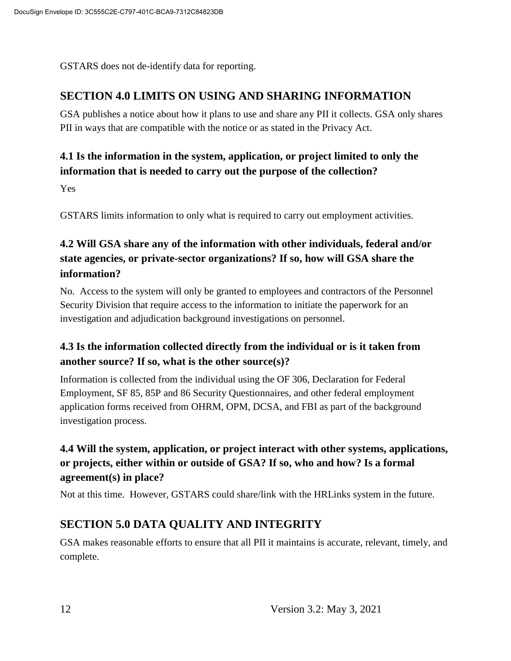GSTARS does not de-identify data for reporting.

### **SECTION 4.0 LIMITS ON USING AND SHARING INFORMATION**

GSA publishes a notice about how it plans to use and share any PII it collects. GSA only shares PII in ways that are compatible with the notice or as stated in the Privacy Act.

## **4.1 Is the information in the system, application, or project limited to only the information that is needed to carry out the purpose of the collection?**

Yes

GSTARS limits information to only what is required to carry out employment activities.

# **4.2 Will GSA share any of the information with other individuals, federal and/or state agencies, or private-sector organizations? If so, how will GSA share the information?**

No. Access to the system will only be granted to employees and contractors of the Personnel Security Division that require access to the information to initiate the paperwork for an investigation and adjudication background investigations on personnel.

## **4.3 Is the information collected directly from the individual or is it taken from another source? If so, what is the other source(s)?**

Information is collected from the individual using the OF 306, Declaration for Federal Employment, SF 85, 85P and 86 Security Questionnaires, and other federal employment application forms received from OHRM, OPM, DCSA, and FBI as part of the background investigation process.

## **4.4 Will the system, application, or project interact with other systems, applications, or projects, either within or outside of GSA? If so, who and how? Is a formal agreement(s) in place?**

Not at this time. However, GSTARS could share/link with the HRLinks system in the future.

# **SECTION 5.0 DATA QUALITY AND INTEGRITY**

GSA makes reasonable efforts to ensure that all PII it maintains is accurate, relevant, timely, and complete.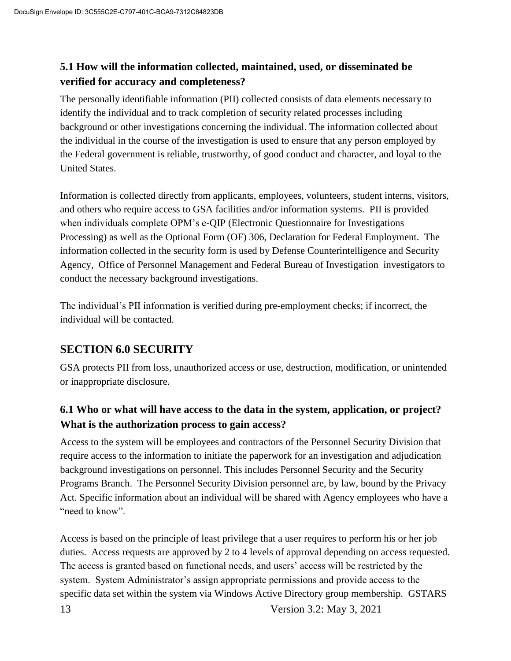#### **5.1 How will the information collected, maintained, used, or disseminated be verified for accuracy and completeness?**

The personally identifiable information (PII) collected consists of data elements necessary to identify the individual and to track completion of security related processes including background or other investigations concerning the individual. The information collected about the individual in the course of the investigation is used to ensure that any person employed by the Federal government is reliable, trustworthy, of good conduct and character, and loyal to the United States.

Information is collected directly from applicants, employees, volunteers, student interns, visitors, and others who require access to GSA facilities and/or information systems. PII is provided when individuals complete OPM's e-QIP (Electronic Questionnaire for Investigations Processing) as well as the Optional Form (OF) 306, Declaration for Federal Employment. The information collected in the security form is used by Defense Counterintelligence and Security Agency, Office of Personnel Management and Federal Bureau of Investigation investigators to conduct the necessary background investigations.

The individual's PII information is verified during pre-employment checks; if incorrect, the individual will be contacted.

#### **SECTION 6.0 SECURITY**

GSA protects PII from loss, unauthorized access or use, destruction, modification, or unintended or inappropriate disclosure.

## **6.1 Who or what will have access to the data in the system, application, or project? What is the authorization process to gain access?**

Access to the system will be employees and contractors of the Personnel Security Division that require access to the information to initiate the paperwork for an investigation and adjudication background investigations on personnel. This includes Personnel Security and the Security Programs Branch. The Personnel Security Division personnel are, by law, bound by the Privacy Act. Specific information about an individual will be shared with Agency employees who have a "need to know".

13 Version 3.2: May 3, 2021 Access is based on the principle of least privilege that a user requires to perform his or her job duties. Access requests are approved by 2 to 4 levels of approval depending on access requested. The access is granted based on functional needs, and users' access will be restricted by the system. System Administrator's assign appropriate permissions and provide access to the specific data set within the system via Windows Active Directory group membership. GSTARS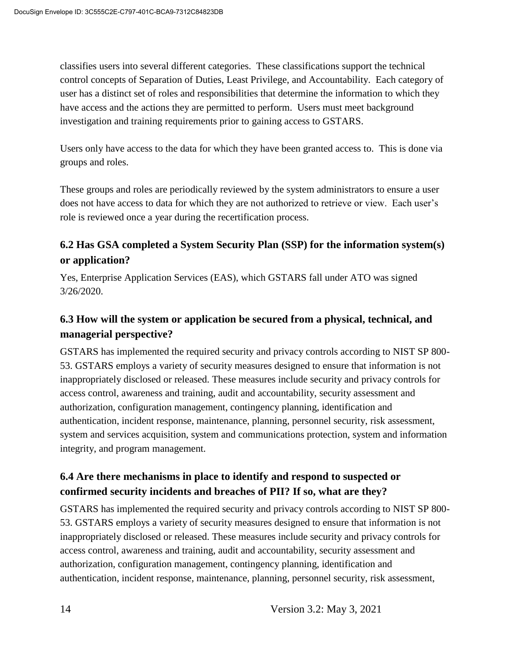classifies users into several different categories. These classifications support the technical control concepts of Separation of Duties, Least Privilege, and Accountability. Each category of user has a distinct set of roles and responsibilities that determine the information to which they have access and the actions they are permitted to perform. Users must meet background investigation and training requirements prior to gaining access to GSTARS.

Users only have access to the data for which they have been granted access to. This is done via groups and roles.

These groups and roles are periodically reviewed by the system administrators to ensure a user does not have access to data for which they are not authorized to retrieve or view. Each user's role is reviewed once a year during the recertification process.

#### **6.2 Has GSA completed a System Security Plan (SSP) for the information system(s) or application?**

Yes, Enterprise Application Services (EAS), which GSTARS fall under ATO was signed 3/26/2020.

#### **6.3 How will the system or application be secured from a physical, technical, and managerial perspective?**

GSTARS has implemented the required security and privacy controls according to NIST SP 800- 53. GSTARS employs a variety of security measures designed to ensure that information is not inappropriately disclosed or released. These measures include security and privacy controls for access control, awareness and training, audit and accountability, security assessment and authorization, configuration management, contingency planning, identification and authentication, incident response, maintenance, planning, personnel security, risk assessment, system and services acquisition, system and communications protection, system and information integrity, and program management.

#### **6.4 Are there mechanisms in place to identify and respond to suspected or confirmed security incidents and breaches of PII? If so, what are they?**

GSTARS has implemented the required security and privacy controls according to NIST SP 800- 53. GSTARS employs a variety of security measures designed to ensure that information is not inappropriately disclosed or released. These measures include security and privacy controls for access control, awareness and training, audit and accountability, security assessment and authorization, configuration management, contingency planning, identification and authentication, incident response, maintenance, planning, personnel security, risk assessment,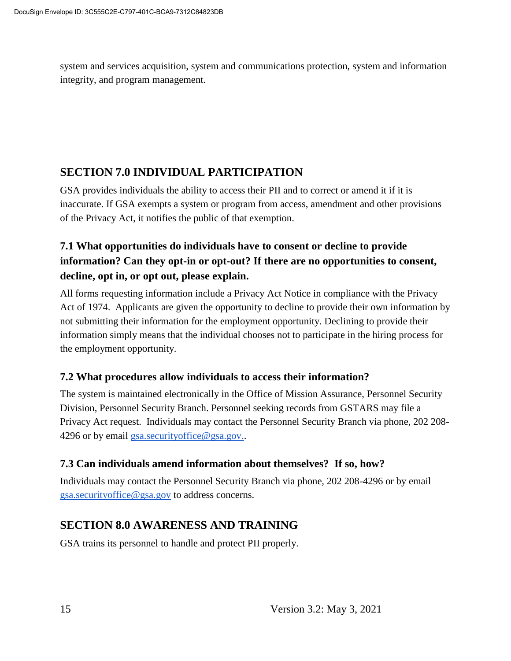system and services acquisition, system and communications protection, system and information integrity, and program management.

## **SECTION 7.0 INDIVIDUAL PARTICIPATION**

GSA provides individuals the ability to access their PII and to correct or amend it if it is inaccurate. If GSA exempts a system or program from access, amendment and other provisions of the Privacy Act, it notifies the public of that exemption.

# **7.1 What opportunities do individuals have to consent or decline to provide information? Can they opt-in or opt-out? If there are no opportunities to consent, decline, opt in, or opt out, please explain.**

All forms requesting information include a Privacy Act Notice in compliance with the Privacy Act of 1974. Applicants are given the opportunity to decline to provide their own information by not submitting their information for the employment opportunity. Declining to provide their information simply means that the individual chooses not to participate in the hiring process for the employment opportunity.

#### **7.2 What procedures allow individuals to access their information?**

The system is maintained electronically in the Office of Mission Assurance, Personnel Security Division, Personnel Security Branch. Personnel seeking records from GSTARS may file a Privacy Act request. Individuals may contact the Personnel Security Branch via phone, 202 208- 4296 or by email gsa.securityoffice@gsa.gov..

#### **7.3 Can individuals amend information about themselves? If so, how?**

Individuals may contact the Personnel Security Branch via phone, 202 208-4296 or by email gsa.securityoffice@gsa.gov to address concerns.

# **SECTION 8.0 AWARENESS AND TRAINING**

GSA trains its personnel to handle and protect PII properly.